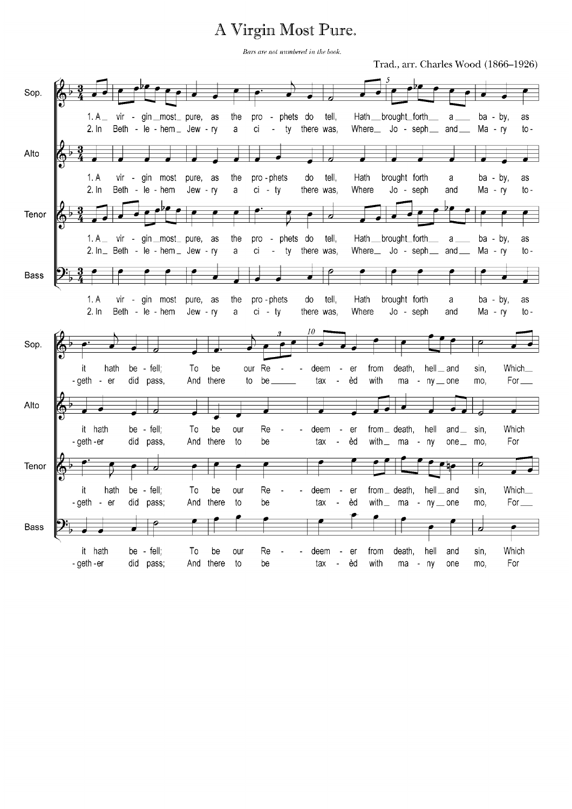## A Virgin Most Pure.

Bars are not numbered in the book.

Trad., arr. Charles Wood (1866-1926)

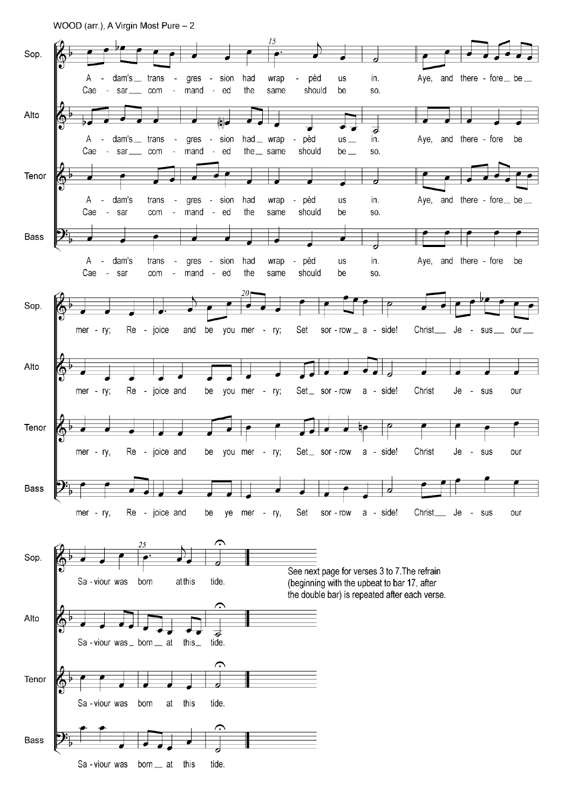WOOD (arr.), A Virgin Most Pure - 2